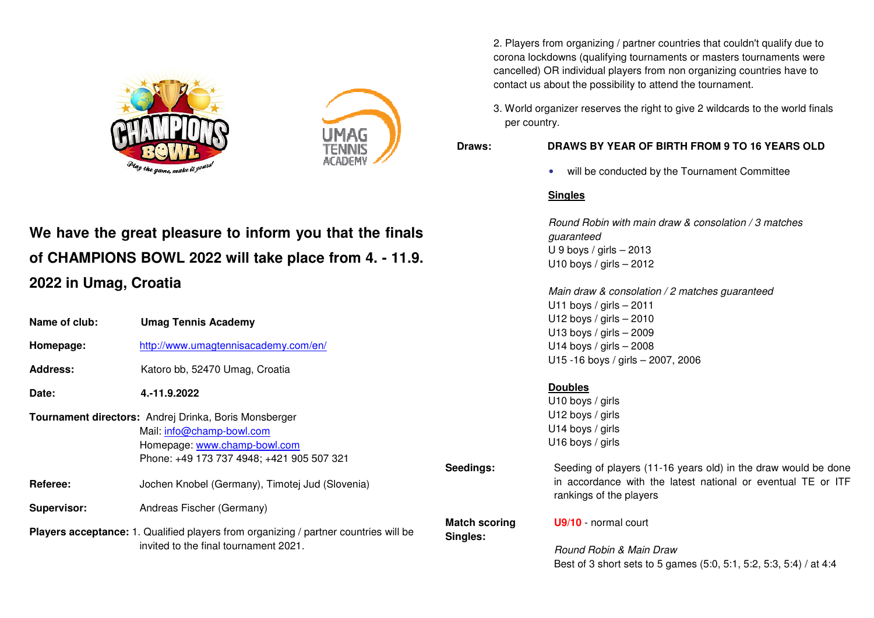



# We have the great pleasure to inform you that the finals of CHAMPIONS BOWL 2022 will take place from 4. - 11.9. **2022 in Umag, Croatia**

|                 |                                                                                      |                                  | U11 boys / girls $-2011$                                                                |  |
|-----------------|--------------------------------------------------------------------------------------|----------------------------------|-----------------------------------------------------------------------------------------|--|
| Name of club:   | <b>Umag Tennis Academy</b>                                                           |                                  | U12 boys / girls $-2010$                                                                |  |
|                 |                                                                                      |                                  | U13 boys / girls $-2009$                                                                |  |
| Homepage:       | http://www.umagtennisacademy.com/en/                                                 |                                  | U14 boys / girls $-2008$                                                                |  |
|                 |                                                                                      |                                  | U15 -16 boys / girls - 2007, 2006                                                       |  |
| <b>Address:</b> | Katoro bb, 52470 Umag, Croatia                                                       |                                  |                                                                                         |  |
| Date:           |                                                                                      |                                  | <b>Doubles</b>                                                                          |  |
|                 | 4.-11.9.2022                                                                         |                                  | U10 boys / girls                                                                        |  |
|                 | Tournament directors: Andrej Drinka, Boris Monsberger                                |                                  | U12 boys / girls                                                                        |  |
|                 | Mail: info@champ-bowl.com                                                            |                                  | U14 boys / girls                                                                        |  |
|                 | Homepage: www.champ-bowl.com                                                         |                                  | U16 boys / girls                                                                        |  |
|                 | Phone: +49 173 737 4948; +421 905 507 321                                            |                                  |                                                                                         |  |
|                 |                                                                                      | Seedings:                        | Seeding of players (11-16 years old) in the draw would be done                          |  |
| Referee:        | Jochen Knobel (Germany), Timotej Jud (Slovenia)                                      |                                  | in accordance with the latest national or eventual TE or ITF<br>rankings of the players |  |
| Supervisor:     | Andreas Fischer (Germany)                                                            |                                  |                                                                                         |  |
|                 | Players acceptance: 1. Qualified players from organizing / partner countries will be | <b>Match scoring</b><br>Singles: | <b>U9/10</b> - normal court                                                             |  |
|                 | invited to the final tournament 2021.                                                |                                  | Round Robin & Main Draw                                                                 |  |
|                 |                                                                                      |                                  | Best of 3 short sets to 5 games (5:0, 5:1, 5:2, 5:3, 5:4) / at 4:4                      |  |

2. Players from organizing / partner countries that couldn't qualify due to corona lockdowns (qualifying tournaments or masters tournaments were corona lockdowns (qualifying tournaments or masters tournaments were<br>cancelled) OR individual players from non organizing countries have to contact us about the possibility to attend the tournament.

3. World organizer reserves the right to give 2 wildcards to the world finals per country.

## **Draws: DRAWS BY YEAR OF BIRTH FROM 9 TO 16 YEARS OLD**

•• will be conducted by the Tournament Committee

Round Robin with main draw & consolation / 3 matches

Main draw & consolation / 2 matches guaranteed

# **Singles**

guaranteed  $U$  9 boys / girls  $-$  2013 U10 boys / girls  $-$  2012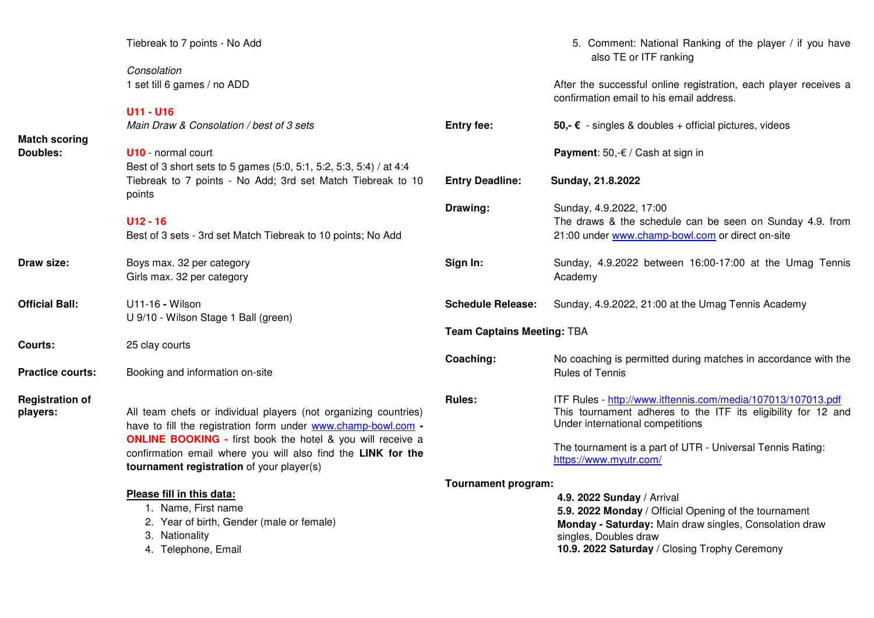|                         | Tiebreak to 7 points - No Add                                                                             |                            | 5. Comment: National Ranking of the player / if you have<br>also TE or ITF ranking                           |  |
|-------------------------|-----------------------------------------------------------------------------------------------------------|----------------------------|--------------------------------------------------------------------------------------------------------------|--|
|                         | Consolation                                                                                               |                            |                                                                                                              |  |
|                         | 1 set till 6 games / no ADD                                                                               |                            | After the successful online registration, each player receives a<br>confirmation email to his email address. |  |
|                         | <b>U11 - U16</b>                                                                                          |                            |                                                                                                              |  |
| <b>Match scoring</b>    | Main Draw & Consolation / best of 3 sets                                                                  | <b>Entry fee:</b>          | 50,- $\epsilon$ - singles & doubles + official pictures, videos                                              |  |
| Doubles:                | <b>U10</b> - normal court                                                                                 |                            | <b>Payment:</b> 50,- $\epsilon$ / Cash at sign in                                                            |  |
|                         | Best of 3 short sets to 5 games (5:0, 5:1, 5:2, 5:3, 5:4) / at 4:4                                        |                            |                                                                                                              |  |
|                         | Tiebreak to 7 points - No Add; 3rd set Match Tiebreak to 10<br>points                                     | <b>Entry Deadline:</b>     | Sunday, 21.8.2022                                                                                            |  |
|                         |                                                                                                           | Drawing:                   | Sunday, 4.9.2022, 17:00                                                                                      |  |
|                         | $U12 - 16$                                                                                                |                            | The draws & the schedule can be seen on Sunday 4.9. from                                                     |  |
|                         | Best of 3 sets - 3rd set Match Tiebreak to 10 points; No Add                                              |                            | 21:00 under www.champ-bowl.com or direct on-site                                                             |  |
| Draw size:              | Boys max. 32 per category                                                                                 | Sign In:                   | Sunday, 4.9.2022 between 16:00-17:00 at the Umag Tennis                                                      |  |
|                         | Girls max. 32 per category                                                                                |                            | Academy                                                                                                      |  |
| <b>Official Ball:</b>   | U11-16 - Wilson                                                                                           | <b>Schedule Release:</b>   | Sunday, 4.9.2022, 21:00 at the Umag Tennis Academy                                                           |  |
|                         | U 9/10 - Wilson Stage 1 Ball (green)                                                                      |                            |                                                                                                              |  |
|                         | <b>Team Captains Meeting: TBA</b>                                                                         |                            |                                                                                                              |  |
| <b>Courts:</b>          | 25 clay courts                                                                                            |                            |                                                                                                              |  |
|                         |                                                                                                           | Coaching:                  | No coaching is permitted during matches in accordance with the                                               |  |
| <b>Practice courts:</b> | Booking and information on-site                                                                           |                            | <b>Rules of Tennis</b>                                                                                       |  |
| <b>Registration of</b>  |                                                                                                           | <b>Rules:</b>              | ITF Rules - http://www.itftennis.com/media/107013/107013.pdf                                                 |  |
| players:                | All team chefs or individual players (not organizing countries)                                           |                            | This tournament adheres to the ITF its eligibility for 12 and                                                |  |
|                         | have to fill the registration form under www.champ-bowl.com -                                             |                            | Under international competitions                                                                             |  |
|                         | <b>ONLINE BOOKING - first book the hotel &amp; you will receive a</b>                                     |                            |                                                                                                              |  |
|                         | confirmation email where you will also find the LINK for the<br>tournament registration of your player(s) |                            | The tournament is a part of UTR - Universal Tennis Rating:<br>https://www.myutr.com/                         |  |
|                         |                                                                                                           | <b>Tournament program:</b> |                                                                                                              |  |
|                         | Please fill in this data:                                                                                 |                            | 4.9. 2022 Sunday / Arrival                                                                                   |  |
|                         | 1. Name, First name                                                                                       |                            | 5.9. 2022 Monday / Official Opening of the tournament                                                        |  |
|                         | 2. Year of birth, Gender (male or female)                                                                 |                            | Monday - Saturday: Main draw singles, Consolation draw                                                       |  |
|                         | 3. Nationality                                                                                            |                            | singles, Doubles draw                                                                                        |  |
|                         | 4. Telephone, Email                                                                                       |                            | 10.9. 2022 Saturday / Closing Trophy Ceremony                                                                |  |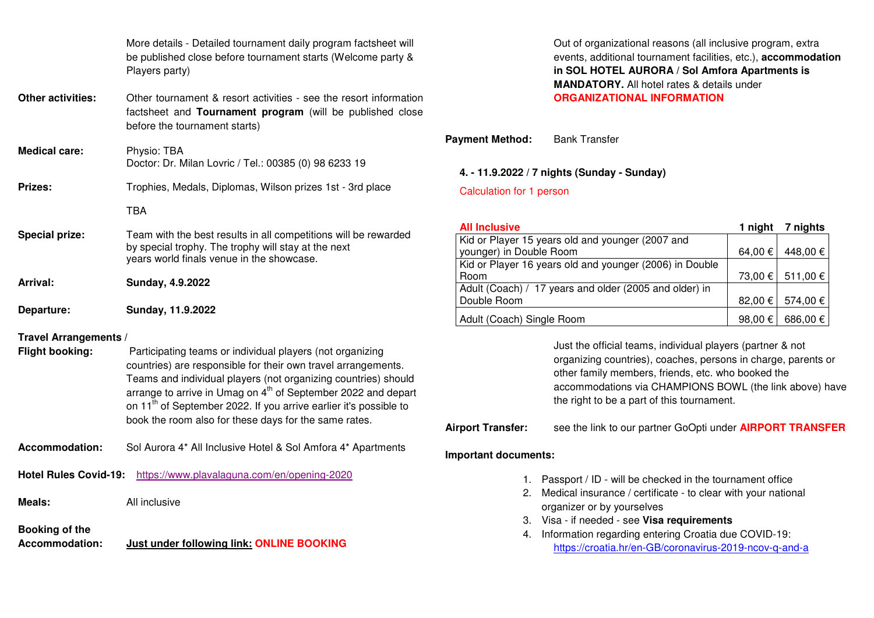|                                                        | More details - Detailed tournament daily program factsheet will<br>be published close before tournament starts (Welcome party &<br>Players party)                                                                                                                                                                                                                                                                   |
|--------------------------------------------------------|---------------------------------------------------------------------------------------------------------------------------------------------------------------------------------------------------------------------------------------------------------------------------------------------------------------------------------------------------------------------------------------------------------------------|
| <b>Other activities:</b>                               | Other tournament & resort activities - see the resort information<br>factsheet and Tournament program (will be published close<br>before the tournament starts)                                                                                                                                                                                                                                                     |
| <b>Medical care:</b>                                   | Physio: TBA<br>Doctor: Dr. Milan Lovric / Tel.: 00385 (0) 98 6233 19                                                                                                                                                                                                                                                                                                                                                |
| <b>Prizes:</b>                                         | Trophies, Medals, Diplomas, Wilson prizes 1st - 3rd place                                                                                                                                                                                                                                                                                                                                                           |
|                                                        | <b>TBA</b>                                                                                                                                                                                                                                                                                                                                                                                                          |
| <b>Special prize:</b>                                  | Team with the best results in all competitions will be rewarded<br>by special trophy. The trophy will stay at the next<br>years world finals venue in the showcase.                                                                                                                                                                                                                                                 |
|                                                        |                                                                                                                                                                                                                                                                                                                                                                                                                     |
| Arrival:                                               | Sunday, 4.9.2022                                                                                                                                                                                                                                                                                                                                                                                                    |
| Departure:                                             | Sunday, 11.9.2022                                                                                                                                                                                                                                                                                                                                                                                                   |
| <b>Travel Arrangements /</b><br><b>Flight booking:</b> | Participating teams or individual players (not organizing<br>countries) are responsible for their own travel arrangements.<br>Teams and individual players (not organizing countries) should<br>arrange to arrive in Umag on 4 <sup>th</sup> of September 2022 and depart<br>on 11 <sup>th</sup> of September 2022. If you arrive earlier it's possible to<br>book the room also for these days for the same rates. |
| <b>Accommodation:</b>                                  | Sol Aurora 4* All Inclusive Hotel & Sol Amfora 4* Apartments                                                                                                                                                                                                                                                                                                                                                        |
| <b>Hotel Rules Covid-19:</b>                           | https://www.plavalaguna.com/en/opening-2020                                                                                                                                                                                                                                                                                                                                                                         |
| Meals:                                                 | All inclusive                                                                                                                                                                                                                                                                                                                                                                                                       |

**Accommodation: Just under following link: ONLINE BOOKING** 

Out of organizational reasons (all inclusive program, extra events, additional tournament facilities, etc.), **accommodation in SOL HOTEL AURORA / Sol Amfora Apartments is MANDATORY.** All hotel rates & details under **ORGANIZATIONAL INFORMATION** 

**Payment Method:** Bank Transfer

#### **4. - 11.9.2022 / 7 nights (Sunday - Sunday)**

Calculation for 1 person

| <b>All Inclusive</b>                                    | 1 night       | 7 nights |
|---------------------------------------------------------|---------------|----------|
| Kid or Player 15 years old and younger (2007 and        |               |          |
| younger) in Double Room                                 | 64,00 €       | 448,00 € |
| Kid or Player 16 years old and younger (2006) in Double |               |          |
| Room                                                    | 73,00 €       | 511,00 € |
| Adult (Coach) / 17 years and older (2005 and older) in  |               |          |
| Double Room                                             | $82,00 \in  $ | 574,00€  |
| Adult (Coach) Single Room                               | 98,00 $\in$   | 686,00€  |

 Just the official teams, individual players (partner & not organizing countries), coaches, persons in charge, parents or other family members, friends, etc. who booked the accommodations via CHAMPIONS BOWL (the link above) have the right to be a part of this tournament.

## **Airport Transfer:** see the link to our partner GoOpti under **AIRPORT TRANSFER**

#### **Important documents:**

- 1. Passport / ID will be checked in the tournament office
- 2. Medical insurance / certificate to clear with your national organizer or by yourselves
- 3. Visa if needed see **Visa requirements**
- 4. Information regarding entering Croatia due COVID-19: https://croatia.hr/en-GB/coronavirus-2019-ncov-q-and-a